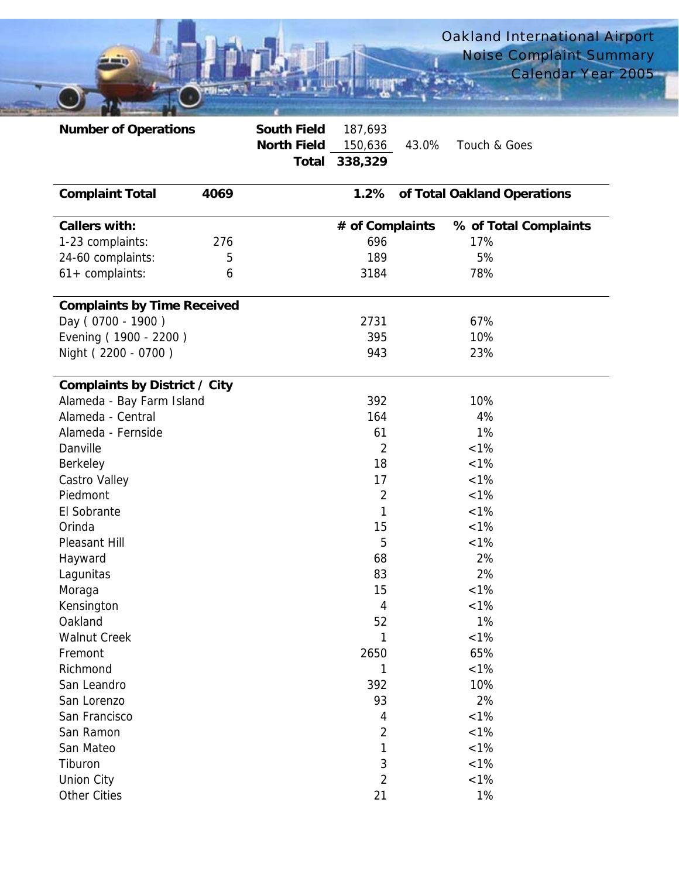

| <b>Number of Operations</b>        |      | <b>South Field</b> | 187,693         |                             |                       |  |  |
|------------------------------------|------|--------------------|-----------------|-----------------------------|-----------------------|--|--|
|                                    |      | <b>North Field</b> | 150,636         | 43.0%                       | Touch & Goes          |  |  |
|                                    |      | <b>Total</b>       | 338,329         |                             |                       |  |  |
|                                    |      |                    |                 |                             |                       |  |  |
| <b>Complaint Total</b>             | 4069 |                    | 1.2%            | of Total Oakland Operations |                       |  |  |
| <b>Callers with:</b>               |      |                    | # of Complaints |                             | % of Total Complaints |  |  |
| 1-23 complaints:                   | 276  |                    | 696             |                             | 17%                   |  |  |
| 24-60 complaints:                  | 5    |                    | 189             |                             | 5%                    |  |  |
| $61+$ complaints:                  | 6    |                    | 3184            |                             | 78%                   |  |  |
|                                    |      |                    |                 |                             |                       |  |  |
| <b>Complaints by Time Received</b> |      |                    |                 |                             |                       |  |  |
| Day (0700 - 1900)                  |      |                    | 2731            |                             | 67%                   |  |  |
| Evening (1900 - 2200)              |      |                    | 395             |                             | 10%                   |  |  |
| Night (2200 - 0700)                |      |                    | 943             |                             | 23%                   |  |  |
|                                    |      |                    |                 |                             |                       |  |  |
| Complaints by District / City      |      |                    |                 |                             |                       |  |  |
| Alameda - Bay Farm Island          |      |                    | 392             |                             | 10%                   |  |  |
| Alameda - Central                  |      |                    | 164             |                             | 4%                    |  |  |
| Alameda - Fernside                 |      |                    | 61              |                             | 1%                    |  |  |
| Danville                           |      |                    | $\overline{2}$  |                             | $< 1\%$               |  |  |
| Berkeley                           |      |                    | 18              |                             | $< 1\%$               |  |  |
| Castro Valley                      |      |                    | 17              |                             | $< 1\%$               |  |  |
| Piedmont                           |      |                    | $\overline{2}$  |                             | $< 1\%$               |  |  |
| El Sobrante                        |      |                    | 1               |                             | $< 1\%$               |  |  |
| Orinda                             |      |                    | 15              |                             | $< 1\%$               |  |  |
| Pleasant Hill                      |      |                    | 5               |                             | $< 1\%$               |  |  |
| Hayward                            |      |                    | 68              |                             | 2%                    |  |  |
| Lagunitas                          |      |                    | 83              |                             | 2%                    |  |  |
| Moraga                             |      |                    | 15              |                             | $< 1\%$               |  |  |
| Kensington                         |      |                    | 4               |                             | $< 1\%$               |  |  |
| Oakland                            |      |                    | 52              |                             | 1%                    |  |  |
| <b>Walnut Creek</b>                |      |                    | 1               |                             | $< 1\%$               |  |  |
| Fremont                            |      |                    | 2650            |                             | 65%                   |  |  |
| Richmond                           |      |                    | 1               |                             | $< 1\%$               |  |  |
| San Leandro                        |      |                    | 392             |                             | 10%                   |  |  |
| San Lorenzo                        |      |                    | 93              |                             | 2%                    |  |  |
| San Francisco                      |      |                    | 4               |                             | $< 1\%$               |  |  |
| San Ramon                          |      |                    | $\overline{2}$  |                             | $< 1\%$               |  |  |
| San Mateo                          |      |                    | 1               |                             | $< 1\%$               |  |  |
| Tiburon                            |      |                    | 3               |                             | $< 1\%$               |  |  |
| <b>Union City</b>                  |      |                    | $\overline{2}$  |                             | $< 1\%$               |  |  |
| <b>Other Cities</b>                |      |                    | 21              |                             | 1%                    |  |  |